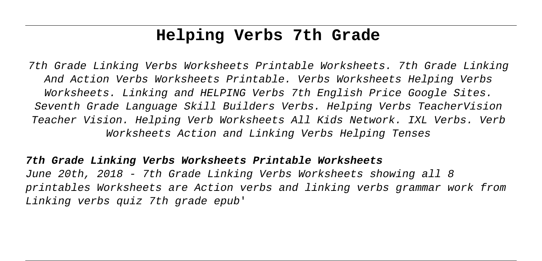# **Helping Verbs 7th Grade**

7th Grade Linking Verbs Worksheets Printable Worksheets. 7th Grade Linking And Action Verbs Worksheets Printable. Verbs Worksheets Helping Verbs Worksheets. Linking and HELPING Verbs 7th English Price Google Sites. Seventh Grade Language Skill Builders Verbs. Helping Verbs TeacherVision Teacher Vision. Helping Verb Worksheets All Kids Network. IXL Verbs. Verb Worksheets Action and Linking Verbs Helping Tenses

## **7th Grade Linking Verbs Worksheets Printable Worksheets**

June 20th, 2018 - 7th Grade Linking Verbs Worksheets showing all 8 printables Worksheets are Action verbs and linking verbs grammar work from Linking verbs quiz 7th grade epub'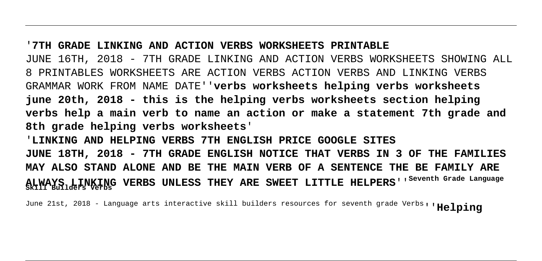#### '**7TH GRADE LINKING AND ACTION VERBS WORKSHEETS PRINTABLE**

JUNE 16TH, 2018 - 7TH GRADE LINKING AND ACTION VERBS WORKSHEETS SHOWING ALL 8 PRINTABLES WORKSHEETS ARE ACTION VERBS ACTION VERBS AND LINKING VERBS GRAMMAR WORK FROM NAME DATE''**verbs worksheets helping verbs worksheets june 20th, 2018 - this is the helping verbs worksheets section helping verbs help a main verb to name an action or make a statement 7th grade and 8th grade helping verbs worksheets**'

'**LINKING AND HELPING VERBS 7TH ENGLISH PRICE GOOGLE SITES JUNE 18TH, 2018 - 7TH GRADE ENGLISH NOTICE THAT VERBS IN 3 OF THE FAMILIES MAY ALSO STAND ALONE AND BE THE MAIN VERB OF A SENTENCE THE BE FAMILY ARE ALWAYS LINKING VERBS UNLESS THEY ARE SWEET LITTLE HELPERS**''**Seventh Grade Language Skill Builders Verbs**

June 21st, 2018 - Language arts interactive skill builders resources for seventh grade Verbs''**Helping**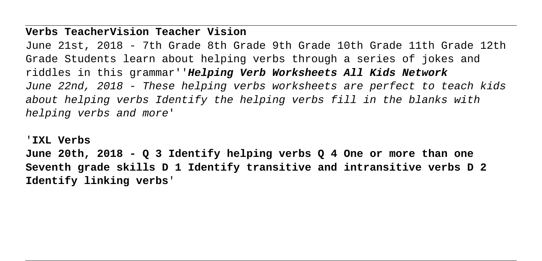### **Verbs TeacherVision Teacher Vision**

June 21st, 2018 - 7th Grade 8th Grade 9th Grade 10th Grade 11th Grade 12th Grade Students learn about helping verbs through a series of jokes and riddles in this grammar''**Helping Verb Worksheets All Kids Network** June 22nd, 2018 - These helping verbs worksheets are perfect to teach kids about helping verbs Identify the helping verbs fill in the blanks with helping verbs and more'

'**IXL Verbs**

**June 20th, 2018 - Q 3 Identify helping verbs Q 4 One or more than one Seventh grade skills D 1 Identify transitive and intransitive verbs D 2 Identify linking verbs**'